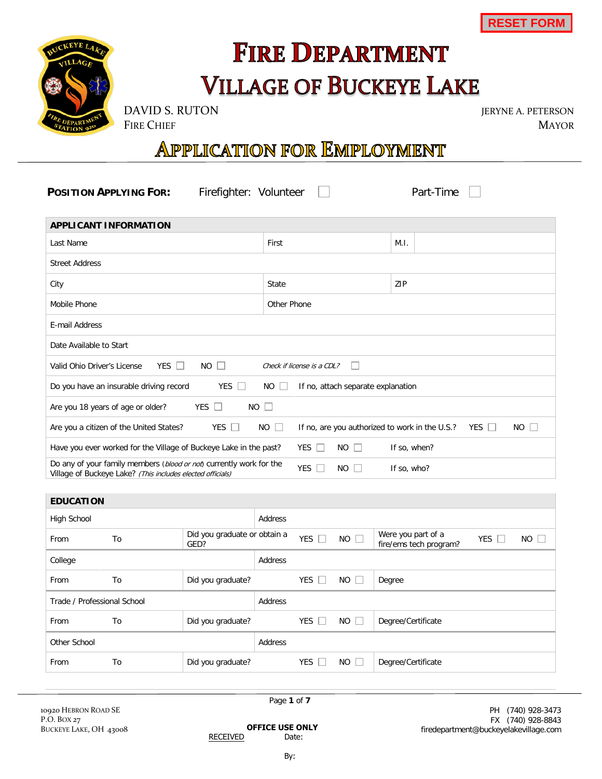RESET FORM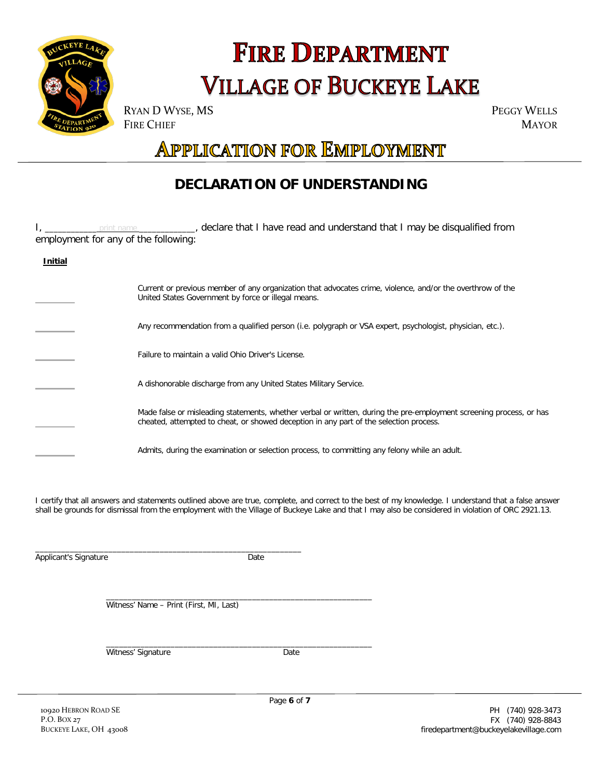## **FIRE DEPARTMENT VILLAGE OF BUCKEYE LAKE**

FIRE CHIEF

Jeryne A. Peterson MAYOR

## **APPLICATION FOR EMPLOYMENT**

### **DECLARATION OF UNDERSTANDING**

|                                      |                                                    | print name ____________, declare that I have read and understand that I may be disqualified from                                                                                                                                                                                                             |  |  |  |
|--------------------------------------|----------------------------------------------------|--------------------------------------------------------------------------------------------------------------------------------------------------------------------------------------------------------------------------------------------------------------------------------------------------------------|--|--|--|
| employment for any of the following: |                                                    |                                                                                                                                                                                                                                                                                                              |  |  |  |
| <b>Initial</b>                       |                                                    |                                                                                                                                                                                                                                                                                                              |  |  |  |
|                                      |                                                    |                                                                                                                                                                                                                                                                                                              |  |  |  |
|                                      |                                                    | Current or previous member of any organization that advocates crime, violence, and/or the overthrow of the<br>United States Government by force or illegal means.                                                                                                                                            |  |  |  |
|                                      |                                                    | Any recommendation from a qualified person (i.e. polygraph or VSA expert, psychologist, physician, etc.).                                                                                                                                                                                                    |  |  |  |
|                                      | Failure to maintain a valid Ohio Driver's License. |                                                                                                                                                                                                                                                                                                              |  |  |  |
|                                      |                                                    | A dishonorable discharge from any United States Military Service.                                                                                                                                                                                                                                            |  |  |  |
|                                      |                                                    | Made false or misleading statements, whether verbal or written, during the pre-employment screening process, or has<br>cheated, attempted to cheat, or showed deception in any part of the selection process.                                                                                                |  |  |  |
|                                      |                                                    | Admits, during the examination or selection process, to committing any felony while an adult.                                                                                                                                                                                                                |  |  |  |
|                                      |                                                    | I certify that all answers and statements outlined above are true, complete, and correct to the best of my knowledge. I understand that a false answer<br>shall be grounds for dismissal from the employment with the Village of Buckeye Lake and that I may also be considered in violation of ORC 2921.13. |  |  |  |
| Applicant's Signature                |                                                    | Date                                                                                                                                                                                                                                                                                                         |  |  |  |
|                                      |                                                    | Witness' Name - Print (First, MI, Last)                                                                                                                                                                                                                                                                      |  |  |  |
|                                      |                                                    | Witness' Signature<br>Date                                                                                                                                                                                                                                                                                   |  |  |  |
|                                      |                                                    |                                                                                                                                                                                                                                                                                                              |  |  |  |